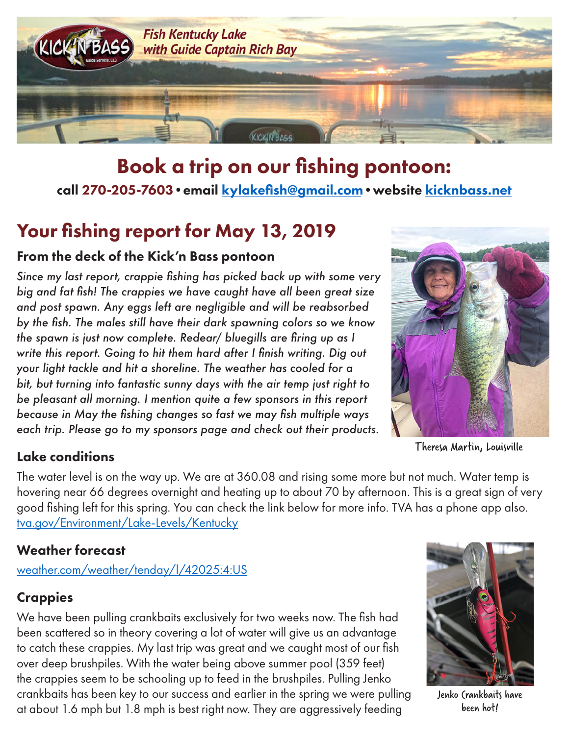

## Book a trip on our fishing pontoon: call 270-205-7603•email kylakefish@gmail.com•website kicknbass.net

# Your fishing report for May 13, 2019

### From the deck of the Kick'n Bass pontoon

*Since my last report, crappie fishing has picked back up with some very big and fat fish! The crappies we have caught have all been great size and post spawn. Any eggs left are negligible and will be reabsorbed by the fish. The males still have their dark spawning colors so we know the spawn is just now complete. Redear/ bluegills are firing up as I write this report. Going to hit them hard after I finish writing. Dig out your light tackle and hit a shoreline. The weather has cooled for a bit, but turning into fantastic sunny days with the air temp just right to be pleasant all morning. I mention quite a few sponsors in this report because in May the fishing changes so fast we may fish multiple ways each trip. Please go to my sponsors page and check out their products.*



Theresa Martin, Louisville

### Lake conditions

The water level is on the way up. We are at 360.08 and rising some more but not much. Water temp is hovering near 66 degrees overnight and heating up to about 70 by afternoon. This is a great sign of very good fishing left for this spring. You can check the link below for more info. TVA has a phone app also. tva.gov/Environment/Lake-Levels/Kentucky

#### Weather forecast

weather.com/weather/tenday/l/42025:4:US

### **Crappies**

We have been pulling crankbaits exclusively for two weeks now. The fish had been scattered so in theory covering a lot of water will give us an advantage to catch these crappies. My last trip was great and we caught most of our fish over deep brushpiles. With the water being above summer pool (359 feet) the crappies seem to be schooling up to feed in the brushpiles. Pulling Jenko crankbaits has been key to our success and earlier in the spring we were pulling at about 1.6 mph but 1.8 mph is best right now. They are aggressively feeding



Jenko Crankbaits have been hot!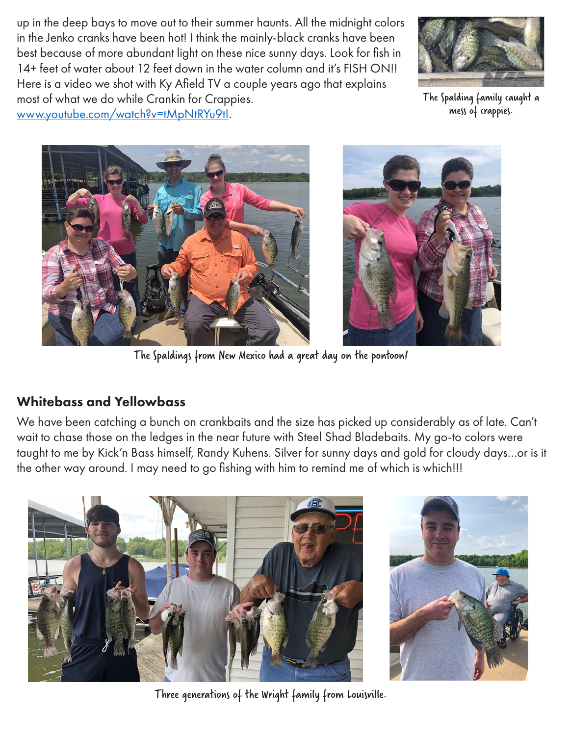up in the deep bays to move out to their summer haunts. All the midnight colors in the Jenko cranks have been hot! I think the mainly-black cranks have been best because of more abundant light on these nice sunny days. Look for fish in 14+ feet of water about 12 feet down in the water column and it's FISH ON!! Here is a video we shot with Ky Afield TV a couple years ago that explains most of what we do while Crankin for Crappies. www.youtube.com/watch?v=tMpNtRYu9tI.



The Spalding family caught a mess of crappies.





The Spaldings from New Mexico had a great day on the pontoon!

## Whitebass and Yellowbass

We have been catching a bunch on crankbaits and the size has picked up considerably as of late. Can't wait to chase those on the ledges in the near future with Steel Shad Bladebaits. My go-to colors were taught to me by Kick'n Bass himself, Randy Kuhens. Silver for sunny days and gold for cloudy days…or is it the other way around. I may need to go fishing with him to remind me of which is which!!!





Three generations of the Wright family from Louisville.